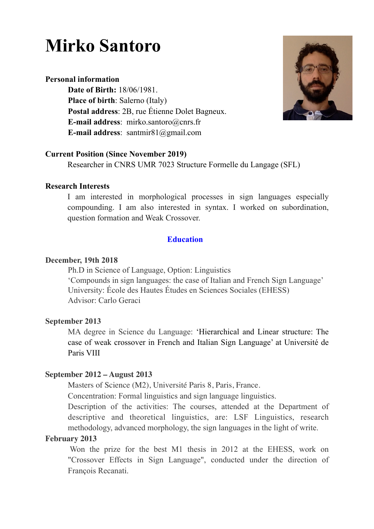# **Mirko Santoro**

# **Personal information**

 **Date of Birth:** 18/06/1981. **Place of birth**: Salerno (Italy) **Postal address**: 2B, rue Étienne Dolet Bagneux. **E-mail address**: mirko.santoro@cnrs.fr **E-mail address**: santmir81@gmail.com



## **Current Position (Since November 2019)**

Researcher in CNRS UMR 7023 Structure Formelle du Langage (SFL)

## **Research Interests**

I am interested in morphological processes in sign languages especially compounding. I am also interested in syntax. I worked on subordination, question formation and Weak Crossover.

## **Education**

## **December, 19th 2018**

Ph.D in Science of Language, Option: Linguistics 'Compounds in sign languages: the case of Italian and French Sign Language' University: École des Hautes Études en Sciences Sociales (EHESS) Advisor: Carlo Geraci

## **September 2013**

MA degree in Science du Language: 'Hierarchical and Linear structure: The case of weak crossover in French and Italian Sign Language' at Université de Paris VIII

## **September 2012 – August 2013**

Masters of Science (M2), Université Paris 8, Paris, France.

Concentration: Formal linguistics and sign language linguistics.

Description of the activities: The courses, attended at the Department of descriptive and theoretical linguistics, are: LSF Linguistics, research methodology, advanced morphology, the sign languages in the light of write.

## **February 2013**

Won the prize for the best M1 thesis in 2012 at the EHESS, work on "Crossover Effects in Sign Language", conducted under the direction of François Recanati.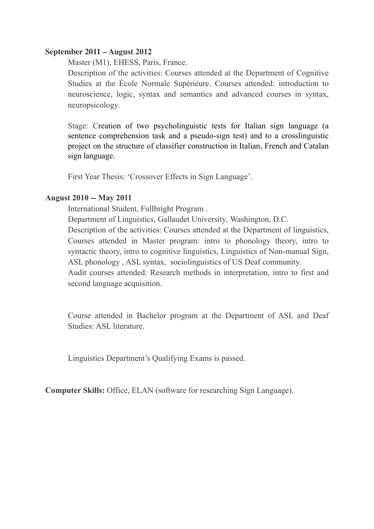## **September 2011 – August 2012**

Master (M1), EHESS, Paris, France.

Description of the activities: Courses attended at the Department of Cognitive Studies at the École Normale Supériéure. Courses attended: introduction to neuroscience, logic, syntax and semantics and advanced courses in syntax, neuropsicology.

Stage: Creation of two psycholinguistic tests for Italian sign language (a sentence comprehension task and a pseudo-sign test) and to a crosslinguistic project on the structure of classifier construction in Italian, French and Catalan sign language.

First Year Thesis: 'Crossover Effects in Sign Language'.

## **August 2010 -- May 2011**

International Student, Fullbright Program .

Department of Linguistics, Gallaudet University*,* Washington, D.C.

Description of the activities: Courses attended at the Department of linguistics, Courses attended in Master program: intro to phonology theory, intro to syntactic theory, intro to cognitive linguistics, Linguistics of Non-manual Sign, ASL phonology , ASL syntax, sociolinguistics of US Deaf community.

Audit courses attended: Research methods in interpretation, intro to first and second language acquisition.

Course attended in Bachelor program at the Department of ASL and Deaf Studies: ASL literature.

Linguistics Department's Qualifying Exams is passed.

**Computer Skills:** Office, ELAN (software for researching Sign Language).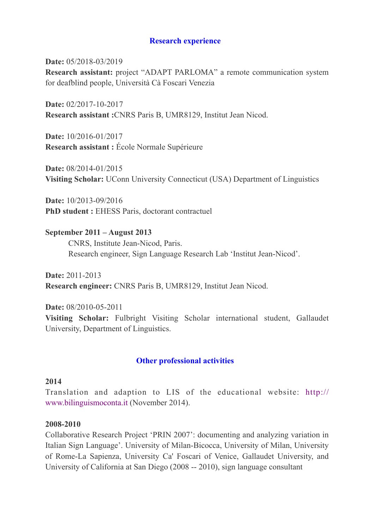## **Research experience**

**Date:** 05/2018-03/2019 **Research assistant:** project "ADAPT PARLOMA" a remote communication system for deafblind people, Università Cà Foscari Venezia

**Date:** 02/2017-10-2017 **Research assistant :**CNRS Paris B, UMR8129, Institut Jean Nicod.

**Date:** 10/2016-01/2017 **Research assistant :** École Normale Supérieure

**Date:** 08/2014-01/2015 **Visiting Scholar:** UConn University Connecticut (USA) Department of Linguistics

**Date:** 10/2013-09/2016 **PhD student :** EHESS Paris, doctorant contractuel

**September 2011 – August 2013**  CNRS, Institute Jean-Nicod, Paris. Research engineer, Sign Language Research Lab 'Institut Jean-Nicod'.

**Date:** 2011-2013 **Research engineer:** CNRS Paris B, UMR8129, Institut Jean Nicod.

**Date:** 08/2010-05-2011 **Visiting Scholar:** Fulbright Visiting Scholar international student, Gallaudet University, Department of Linguistics.

## **Other professional activities**

### **2014**

Translation and adaption to LIS of the educational website: [http://](http://www.bilinguismoconta.it/) [www.bilinguismoconta.it](http://www.bilinguismoconta.it/) (November 2014).

## **2008-2010**

Collaborative Research Project 'PRIN 2007': documenting and analyzing variation in Italian Sign Language'. University of Milan-Bicocca, University of Milan, University of Rome-La Sapienza, University Ca' Foscari of Venice, Gallaudet University, and University of California at San Diego (2008 -- 2010), sign language consultant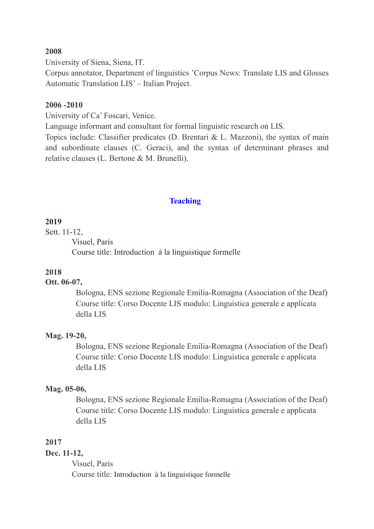### **2008**

University of Siena, Siena, IT.

Corpus annotator, Department of linguistics 'Corpus News: Translate LIS and Glosses Automatic Translation LIS' – Italian Project.

#### **2006 -2010**

University of Ca' Foscari, Venice.

Language informant and consultant for formal linguistic research on LIS.

Topics include: Classifier predicates (D. Brentari & L. Mazzoni), the syntax of main and subordinate clauses (C. Geraci), and the syntax of determinant phrases and relative clauses (L. Bertone & M. Brunelli).

#### **Teaching**

#### **2019**

Sett. 11-12,

Visuel, Paris

Course title: Introduction à la linguistique formelle

### **2018**

## **Ott. 06-07,**

 Bologna, ENS sezione Regionale Emilia-Romagna (Association of the Deaf) Course title: Corso Docente LIS modulo: Linguistica generale e applicata della LIS

#### **Mag. 19-20,**

 Bologna, ENS sezione Regionale Emilia-Romagna (Association of the Deaf) Course title: Corso Docente LIS modulo: Linguistica generale e applicata della LIS

### **Mag. 05-06,**

 Bologna, ENS sezione Regionale Emilia-Romagna (Association of the Deaf) Course title: Corso Docente LIS modulo: Linguistica generale e applicata della LIS

### **2017**

## **Dec. 11-12,**

Visuel, Paris Course title: Introduction à la linguistique formelle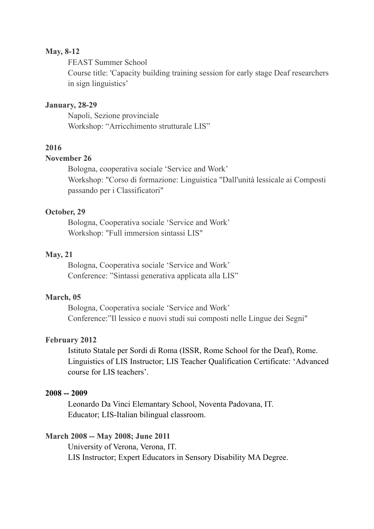## **May, 8-12**

FEAST Summer School Course title: 'Capacity building training session for early stage Deaf researchers in sign linguistics'

#### **January, 28-29**

Napoli, Sezione provinciale Workshop: "Arricchimento strutturale LIS"

## **2016**

# **November 26**

Bologna, cooperativa sociale 'Service and Work' Workshop: "Corso di formazione: Linguistica "Dall'unità lessicale ai Composti passando per i Classificatori"

#### **October, 29**

Bologna, Cooperativa sociale 'Service and Work' Workshop: "Full immersion sintassi LIS"

#### **May, 21**

 Bologna, Cooperativa sociale 'Service and Work' Conference: "Sintassi generativa applicata alla LIS"

#### **March, 05**

 Bologna, Cooperativa sociale 'Service and Work' Conference:"Il lessico e nuovi studi sui composti nelle Lingue dei Segni"

#### **February 2012**

 Istituto Statale per Sordi di Roma (ISSR, Rome School for the Deaf), Rome. Linguistics of LIS Instructor; LIS Teacher Qualification Certificate: 'Advanced course for LIS teachers'.

## **2008 -- 2009**

Leonardo Da Vinci Elemantary School, Noventa Padovana, IT. Educator; LIS-Italian bilingual classroom.

#### **March 2008 -- May 2008; June 2011**

University of Verona, Verona, IT. LIS Instructor; Expert Educators in Sensory Disability MA Degree.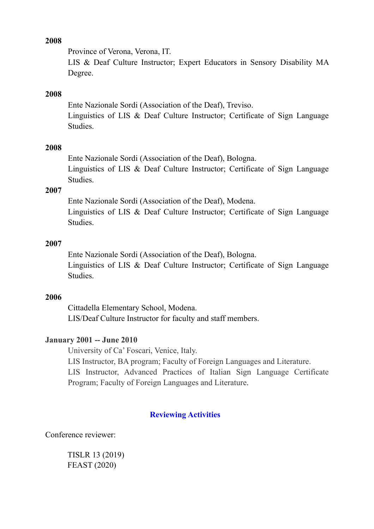## **2008**

Province of Verona, Verona, IT.

LIS & Deaf Culture Instructor; Expert Educators in Sensory Disability MA Degree.

## **2008**

Ente Nazionale Sordi (Association of the Deaf), Treviso. Linguistics of LIS & Deaf Culture Instructor; Certificate of Sign Language Studies.

#### **2008**

Ente Nazionale Sordi (Association of the Deaf), Bologna. Linguistics of LIS & Deaf Culture Instructor; Certificate of Sign Language Studies.

### **2007**

Ente Nazionale Sordi (Association of the Deaf), Modena. Linguistics of LIS & Deaf Culture Instructor; Certificate of Sign Language **Studies** 

#### **2007**

Ente Nazionale Sordi (Association of the Deaf), Bologna.

Linguistics of LIS & Deaf Culture Instructor; Certificate of Sign Language **Studies** 

### **2006**

Cittadella Elementary School, Modena. LIS/Deaf Culture Instructor for faculty and staff members.

### **January 2001 -- June 2010**

University of Ca' Foscari, Venice, Italy.

LIS Instructor, BA program; Faculty of Foreign Languages and Literature.

LIS Instructor, Advanced Practices of Italian Sign Language Certificate Program; Faculty of Foreign Languages and Literature.

### **Reviewing Activities**

Conference reviewer:

 TISLR 13 (2019) FEAST (2020)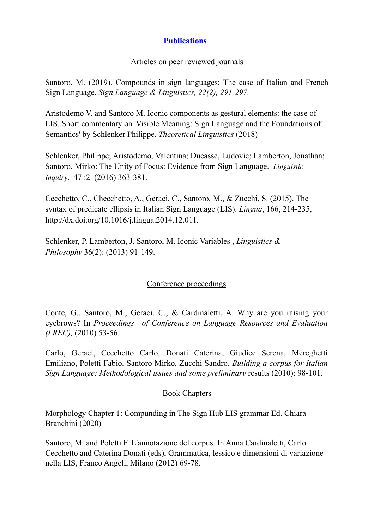# **Publications**

## Articles on peer reviewed journals

Santoro, M. (2019). Compounds in sign languages: The case of Italian and French Sign Language. *Sign Language & Linguistics, 22(2), 291-297.*

Aristodemo V. and Santoro M. Iconic components as gestural elements: the case of LIS. Short commentary on 'Visible Meaning: Sign Language and the Foundations of Semantics' by Schlenker Philippe. *Theoretical Linguistics* (2018)

Schlenker, Philippe; Aristodemo, Valentina; Ducasse, Ludovic; Lamberton, Jonathan; Santoro, Mirko: The Unity of Focus: Evidence from Sign Language. *Linguistic Inquiry*. 47 :2 (2016) 363-381.

Cecchetto, C., Checchetto, A., Geraci, C., Santoro, M., & Zucchi, S. (2015). The syntax of predicate ellipsis in Italian Sign Language (LIS). *Lingua*, 166, 214-235, http://dx.doi.org/10.1016/j.lingua.2014.12.011.

Schlenker, P. Lamberton, J. Santoro, M. Iconic Variables , *Linguistics & Philosophy* 36(2): (2013) 91-149.

# Conference proceedings

Conte, G., Santoro, M., Geraci, C., & Cardinaletti, A. Why are you raising your eyebrows? In *Proceedings of Conference on Language Resources and Evaluation (LREC),* (2010) 53-56.

Carlo, Geraci, Cecchetto Carlo, Donati Caterina, Giudice Serena, Mereghetti Emiliano, Poletti Fabio, Santoro Mirko, Zucchi Sandro. *Building a corpus for Italian Sign Language: Methodological issues and some preliminary* results (2010): 98-101.

## Book Chapters

Morphology Chapter 1: Compunding in The Sign Hub LIS grammar Ed. Chiara Branchini (2020)

Santoro, M. and Poletti F. L'annotazione del corpus. In Anna Cardinaletti, Carlo Cecchetto and Caterina Donati (eds), Grammatica, lessico e dimensioni di variazione nella LIS, Franco Angeli, Milano (2012) 69-78.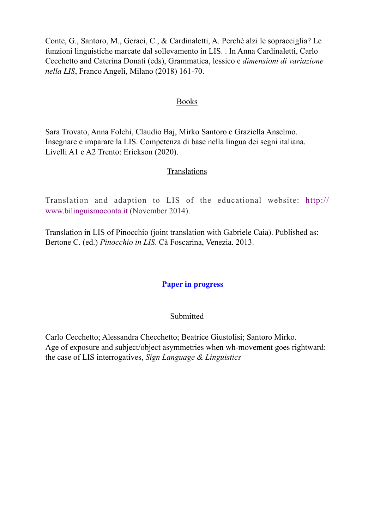Conte, G., Santoro, M., Geraci, C., & Cardinaletti, A. Perché alzi le sopracciglia? Le funzioni linguistiche marcate dal sollevamento in LIS. . In Anna Cardinaletti, Carlo Cecchetto and Caterina Donati (eds), Grammatica, lessico e *dimensioni di variazione nella LIS*, Franco Angeli, Milano (2018) 161-70.

### Books

Sara Trovato, Anna Folchi, Claudio Baj, Mirko Santoro e Graziella Anselmo. Insegnare e imparare la LIS. Competenza di base nella lingua dei segni italiana. Livelli A1 e A2 Trento: Erickson (2020).

#### **Translations**

Translation and adaption to LIS of the educational website: [http://](http://www.bilinguismoconta.it/) [www.bilinguismoconta.it](http://www.bilinguismoconta.it/) (November 2014).

Translation in LIS of Pinocchio (joint translation with Gabriele Caia). Published as: Bertone C. (ed.) *Pinocchio in LIS*. Cà Foscarina, Venezia. 2013.

### **Paper in progress**

#### Submitted

Carlo Cecchetto; Alessandra Checchetto; Beatrice Giustolisi; Santoro Mirko. Age of exposure and subject/object asymmetries when wh-movement goes rightward: the case of LIS interrogatives, *Sign Language & Linguistics*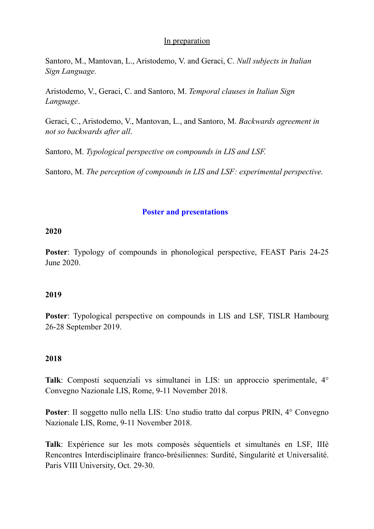## In preparation

Santoro, M., Mantovan, L., Aristodemo, V. and Geraci, C. *Null subjects in Italian Sign Language.* 

Aristodemo, V., Geraci, C. and Santoro, M. *Temporal clauses in Italian Sign Language*.

Geraci, C., Aristodemo, V., Mantovan, L., and Santoro, M. *Backwards agreement in not so backwards after all*.

Santoro, M. *Typological perspective on compounds in LIS and LSF.* 

Santoro, M. *The perception of compounds in LIS and LSF: experimental perspective.* 

# **Poster and presentations**

## **2020**

**Poster**: Typology of compounds in phonological perspective, FEAST Paris 24-25 June 2020.

## **2019**

**Poster**: Typological perspective on compounds in LIS and LSF, TISLR Hambourg 26-28 September 2019.

## **2018**

**Talk**: Composti sequenziali vs simultanei in LIS: un approccio sperimentale, 4° Convegno Nazionale LIS, Rome, 9-11 November 2018.

**Poster**: Il soggetto nullo nella LIS: Uno studio tratto dal corpus PRIN, 4° Convegno Nazionale LIS, Rome, 9-11 November 2018.

**Talk**: Expérience sur les mots composés séquentiels et simultanés en LSF, IIIè Rencontres Interdisciplinaire franco-brésiliennes: Surdité, Singularité et Universalité. Paris VIII University, Oct. 29-30.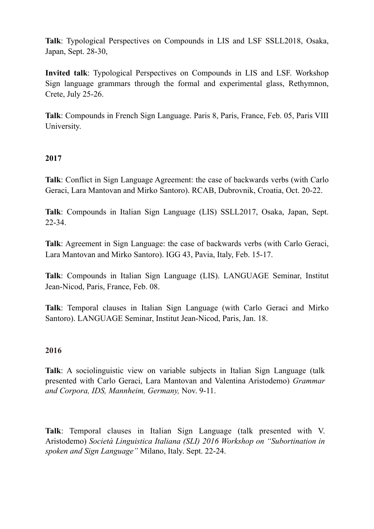**Talk**: Typological Perspectives on Compounds in LIS and LSF SSLL2018, Osaka, Japan, Sept. 28-30,

**Invited talk**: Typological Perspectives on Compounds in LIS and LSF. Workshop Sign language grammars through the formal and experimental glass, Rethymnon, Crete, July 25-26.

**Talk**: Compounds in French Sign Language. Paris 8, Paris, France, Feb. 05, Paris VIII University.

# **2017**

**Talk**: Conflict in Sign Language Agreement: the case of backwards verbs (with Carlo Geraci, Lara Mantovan and Mirko Santoro). RCAB, Dubrovnik, Croatia, Oct. 20-22.

**Talk**: Compounds in Italian Sign Language (LIS) SSLL2017, Osaka, Japan, Sept. 22-34.

**Talk**: Agreement in Sign Language: the case of backwards verbs (with Carlo Geraci, Lara Mantovan and Mirko Santoro). IGG 43, Pavia, Italy, Feb. 15-17.

**Talk**: Compounds in Italian Sign Language (LIS). LANGUAGE Seminar, Institut Jean-Nicod, Paris, France, Feb. 08.

**Talk**: Temporal clauses in Italian Sign Language (with Carlo Geraci and Mirko Santoro). LANGUAGE Seminar, Institut Jean-Nicod, Paris, Jan. 18.

## **2016**

**Talk**: A sociolinguistic view on variable subjects in Italian Sign Language (talk presented with Carlo Geraci, Lara Mantovan and Valentina Aristodemo) *Grammar and Corpora, IDS, Mannheim, Germany,* Nov. 9-11.

**Talk**: Temporal clauses in Italian Sign Language (talk presented with V. Aristodemo) *Società Linguistica Italiana (SLI) 2016 Workshop on "Subortination in spoken and Sign Language"* Milano, Italy. Sept. 22-24.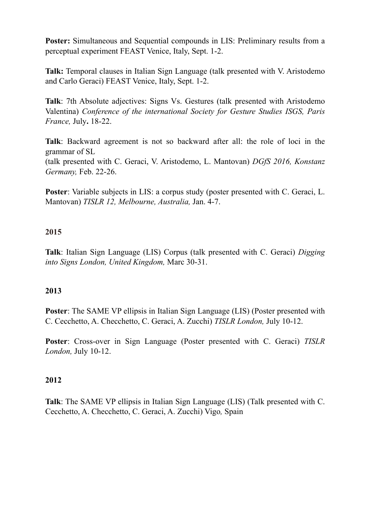**Poster:** Simultaneous and Sequential compounds in LIS: Preliminary results from a perceptual experiment FEAST Venice, Italy, Sept. 1-2.

**Talk:** Temporal clauses in Italian Sign Language (talk presented with V. Aristodemo and Carlo Geraci) FEAST Venice, Italy, Sept. 1-2.

**Talk**: 7th Absolute adjectives: Signs Vs. Gestures (talk presented with Aristodemo Valentina) *Conference of the international Society for Gesture Studies ISGS, Paris France,* July**.** 18-22.

**Talk**: Backward agreement is not so backward after all: the role of loci in the grammar of SL (talk presented with C. Geraci, V. Aristodemo, L. Mantovan) *DGfS 2016, Konstanz Germany,* Feb. 22-26.

**Poster:** Variable subjects in LIS: a corpus study (poster presented with C. Geraci, L. Mantovan) *TISLR 12, Melbourne, Australia,* Jan. 4-7.

# **2015**

**Talk**: Italian Sign Language (LIS) Corpus (talk presented with C. Geraci) *Digging into Signs London, United Kingdom,* Marc 30-31.

## **2013**

**Poster**: The SAME VP ellipsis in Italian Sign Language (LIS) (Poster presented with C. Cecchetto, A. Checchetto, C. Geraci, A. Zucchi) *TISLR London,* July 10-12.

**Poster**: Cross-over in Sign Language (Poster presented with C. Geraci) *TISLR London,* July 10-12.

## **2012**

**Talk**: The SAME VP ellipsis in Italian Sign Language (LIS) (Talk presented with C. Cecchetto, A. Checchetto, C. Geraci, A. Zucchi) Vigo*,* Spain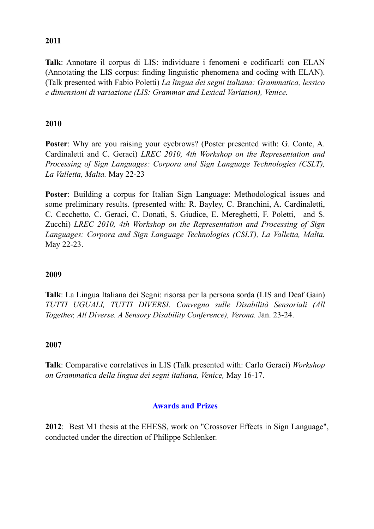## **2011**

**Talk**: Annotare il corpus di LIS: individuare i fenomeni e codificarli con ELAN (Annotating the LIS corpus: finding linguistic phenomena and coding with ELAN). (Talk presented with Fabio Poletti) *La lingua dei segni italiana: Grammatica, lessico e dimensioni di variazione (LIS: Grammar and Lexical Variation), Venice.* 

# **2010**

**Poster**: Why are you raising your eyebrows? (Poster presented with: G. Conte, A. Cardinaletti and C. Geraci) *LREC 2010, 4th Workshop on the Representation and Processing of Sign Languages: Corpora and Sign Language Technologies (CSLT), La Valletta, Malta.* May 22-23

**Poster**: Building a corpus for Italian Sign Language: Methodological issues and some preliminary results. (presented with: R. Bayley, C. Branchini, A. Cardinaletti, C. Cecchetto, C. Geraci, C. Donati, S. Giudice, E. Mereghetti, F. Poletti, and S. Zucchi) *LREC 2010, 4th Workshop on the Representation and Processing of Sign Languages: Corpora and Sign Language Technologies (CSLT), La Valletta, Malta.* May 22-23.

## **2009**

**Talk**: La Lingua Italiana dei Segni: risorsa per la persona sorda (LIS and Deaf Gain) *TUTTI UGUALI, TUTTI DIVERSI. Convegno sulle Disabilità Sensoriali (All Together, All Diverse. A Sensory Disability Conference), Verona.* Jan. 23-24.

## **2007**

**Talk**: Comparative correlatives in LIS (Talk presented with: Carlo Geraci) *Workshop on Grammatica della lingua dei segni italiana, Venice,* May 16-17.

## **Awards and Prizes**

**2012**: Best M1 thesis at the EHESS, work on "Crossover Effects in Sign Language", conducted under the direction of Philippe Schlenker.